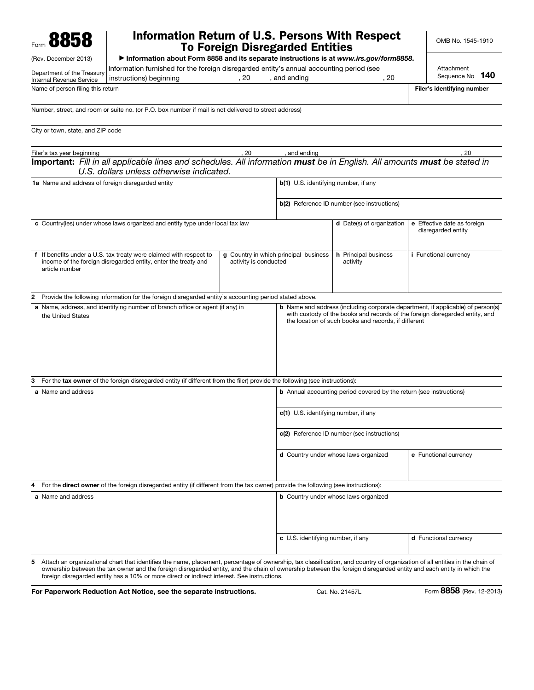| Form 8858                                              | <b>Information Return of U.S. Persons With Respect</b>                                                                                                               |              | <b>To Foreign Disregarded Entities</b>             |                                             |                            | OMB No. 1545-1910                                 |  |  |
|--------------------------------------------------------|----------------------------------------------------------------------------------------------------------------------------------------------------------------------|--------------|----------------------------------------------------|---------------------------------------------|----------------------------|---------------------------------------------------|--|--|
| (Rev. December 2013)                                   | Information about Form 8858 and its separate instructions is at www.irs.gov/form8858.                                                                                |              |                                                    |                                             |                            |                                                   |  |  |
| Department of the Treasury<br>Internal Revenue Service | Information furnished for the foreign disregarded entity's annual accounting period (see<br>instructions) beginning                                                  | . 20         | , and ending                                       | . 20                                        |                            | Attachment<br>Sequence No. 140                    |  |  |
|                                                        | Name of person filing this return                                                                                                                                    |              |                                                    |                                             | Filer's identifying number |                                                   |  |  |
| City or town, state, and ZIP code                      |                                                                                                                                                                      |              |                                                    |                                             |                            |                                                   |  |  |
| Filer's tax year beginning<br>.20                      |                                                                                                                                                                      | , and ending |                                                    |                                             | .20                        |                                                   |  |  |
|                                                        | Important: Fill in all applicable lines and schedules. All information must be in English. All amounts must be stated in<br>U.S. dollars unless otherwise indicated. |              |                                                    |                                             |                            |                                                   |  |  |
| 1a Name and address of foreign disregarded entity      |                                                                                                                                                                      |              |                                                    | <b>b(1)</b> U.S. identifying number, if any |                            |                                                   |  |  |
|                                                        |                                                                                                                                                                      |              | <b>b(2)</b> Reference ID number (see instructions) |                                             |                            |                                                   |  |  |
|                                                        | c Country(ies) under whose laws organized and entity type under local tax law                                                                                        |              |                                                    | <b>d</b> Date(s) of organization            |                            | e Effective date as foreign<br>disregarded entity |  |  |

|   | f If benefits under a U.S. tax treaty were claimed with respect to<br>income of the foreign disregarded entity, enter the treaty and<br>article number | activity is conducted | g Country in which principal business                                               | h Principal business<br>activity                                           | <i>i</i> Functional currency                                                                                                                                           |  |  |  |
|---|--------------------------------------------------------------------------------------------------------------------------------------------------------|-----------------------|-------------------------------------------------------------------------------------|----------------------------------------------------------------------------|------------------------------------------------------------------------------------------------------------------------------------------------------------------------|--|--|--|
|   |                                                                                                                                                        |                       |                                                                                     |                                                                            |                                                                                                                                                                        |  |  |  |
| 2 | Provide the following information for the foreign disregarded entity's accounting period stated above.                                                 |                       |                                                                                     |                                                                            |                                                                                                                                                                        |  |  |  |
|   | a Name, address, and identifying number of branch office or agent (if any) in<br>the United States                                                     |                       |                                                                                     | the location of such books and records, if different                       | <b>b</b> Name and address (including corporate department, if applicable) of person(s)<br>with custody of the books and records of the foreign disregarded entity, and |  |  |  |
| 3 | For the tax owner of the foreign disregarded entity (if different from the filer) provide the following (see instructions):                            |                       |                                                                                     |                                                                            |                                                                                                                                                                        |  |  |  |
|   | a Name and address                                                                                                                                     |                       |                                                                                     | <b>b</b> Annual accounting period covered by the return (see instructions) |                                                                                                                                                                        |  |  |  |
|   |                                                                                                                                                        |                       | c(1) U.S. identifying number, if any<br>c(2) Reference ID number (see instructions) |                                                                            |                                                                                                                                                                        |  |  |  |
|   |                                                                                                                                                        |                       |                                                                                     |                                                                            |                                                                                                                                                                        |  |  |  |
|   |                                                                                                                                                        |                       |                                                                                     | d Country under whose laws organized                                       | e Functional currency                                                                                                                                                  |  |  |  |
|   | 4 For the direct owner of the foreign disregarded entity (if different from the tax owner) provide the following (see instructions):                   |                       |                                                                                     |                                                                            |                                                                                                                                                                        |  |  |  |
|   | a Name and address                                                                                                                                     |                       | <b>b</b> Country under whose laws organized                                         |                                                                            |                                                                                                                                                                        |  |  |  |
|   |                                                                                                                                                        |                       | c U.S. identifying number, if any                                                   |                                                                            | d Functional currency                                                                                                                                                  |  |  |  |

5 Attach an organizational chart that identifies the name, placement, percentage of ownership, tax classification, and country of organization of all entities in the chain of ownership between the tax owner and the foreign disregarded entity, and the chain of ownership between the foreign disregarded entity and each entity in which the foreign disregarded entity has a 10% or more direct or indirect interest. See instructions.

For Paperwork Reduction Act Notice, see the separate instructions. Cat. No. 21457L Form 8858 (Rev. 12-2013)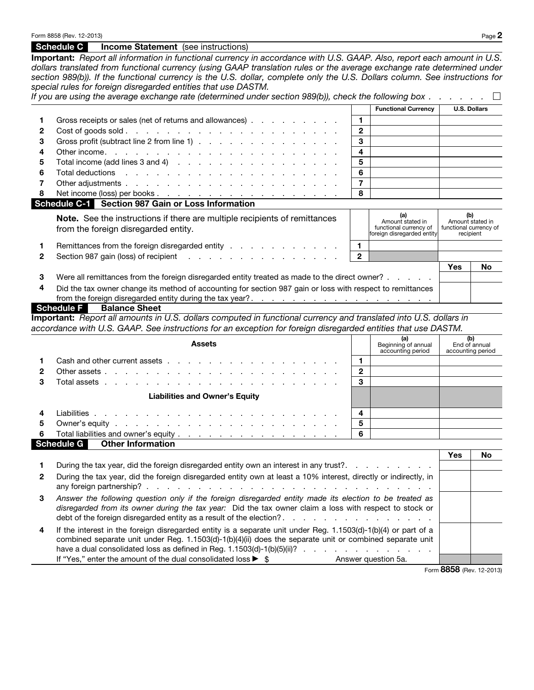|   | Schedule C<br><b>Income Statement</b> (see instructions)                                                                                                                                                                                                                                                                                                                                                                                                                                                                                                     |              |                                                                                 |                                                                |           |
|---|--------------------------------------------------------------------------------------------------------------------------------------------------------------------------------------------------------------------------------------------------------------------------------------------------------------------------------------------------------------------------------------------------------------------------------------------------------------------------------------------------------------------------------------------------------------|--------------|---------------------------------------------------------------------------------|----------------------------------------------------------------|-----------|
|   | Important: Report all information in functional currency in accordance with U.S. GAAP. Also, report each amount in U.S.<br>dollars translated from functional currency (using GAAP translation rules or the average exchange rate determined under<br>section 989(b)). If the functional currency is the U.S. dollar, complete only the U.S. Dollars column. See instructions for<br>special rules for foreign disregarded entities that use DASTM.<br>If you are using the average exchange rate (determined under section 989(b)), check the following box |              |                                                                                 |                                                                |           |
|   |                                                                                                                                                                                                                                                                                                                                                                                                                                                                                                                                                              |              | <b>Functional Currency</b>                                                      | <b>U.S. Dollars</b>                                            |           |
|   | Gross receipts or sales (net of returns and allowances)                                                                                                                                                                                                                                                                                                                                                                                                                                                                                                      | 1.           |                                                                                 |                                                                |           |
| 2 |                                                                                                                                                                                                                                                                                                                                                                                                                                                                                                                                                              | 2            |                                                                                 |                                                                |           |
| 3 | Gross profit (subtract line 2 from line 1)                                                                                                                                                                                                                                                                                                                                                                                                                                                                                                                   | 3            |                                                                                 |                                                                |           |
| 4 |                                                                                                                                                                                                                                                                                                                                                                                                                                                                                                                                                              | 4            |                                                                                 |                                                                |           |
| 5 | Total income (add lines 3 and 4) $\ldots$ $\ldots$ $\ldots$ $\ldots$ $\ldots$ $\ldots$ $\ldots$                                                                                                                                                                                                                                                                                                                                                                                                                                                              | 5            |                                                                                 |                                                                |           |
| 6 | Total deductions research and research and research and research and research and research and response to the                                                                                                                                                                                                                                                                                                                                                                                                                                               | 6            |                                                                                 |                                                                |           |
| 7 |                                                                                                                                                                                                                                                                                                                                                                                                                                                                                                                                                              | 7            |                                                                                 |                                                                |           |
| 8 |                                                                                                                                                                                                                                                                                                                                                                                                                                                                                                                                                              | 8            |                                                                                 |                                                                |           |
|   | Schedule C-1 Section 987 Gain or Loss Information                                                                                                                                                                                                                                                                                                                                                                                                                                                                                                            |              |                                                                                 |                                                                |           |
|   | Note. See the instructions if there are multiple recipients of remittances<br>from the foreign disregarded entity.                                                                                                                                                                                                                                                                                                                                                                                                                                           |              | (a)<br>Amount stated in<br>functional currency of<br>foreign disregarded entity | (b)<br>Amount stated in<br>functional currency of<br>recipient |           |
|   | Remittances from the foreign disregarded entity                                                                                                                                                                                                                                                                                                                                                                                                                                                                                                              | 1.           |                                                                                 |                                                                |           |
| 2 | Section 987 gain (loss) of recipient                                                                                                                                                                                                                                                                                                                                                                                                                                                                                                                         | $\mathbf{2}$ |                                                                                 |                                                                |           |
|   |                                                                                                                                                                                                                                                                                                                                                                                                                                                                                                                                                              |              |                                                                                 | <b>Yes</b>                                                     | <b>No</b> |
| 3 | Were all remittances from the foreign disregarded entity treated as made to the direct owner?                                                                                                                                                                                                                                                                                                                                                                                                                                                                |              |                                                                                 |                                                                |           |
| 4 | Did the tax owner change its method of accounting for section 987 gain or loss with respect to remittances                                                                                                                                                                                                                                                                                                                                                                                                                                                   |              |                                                                                 |                                                                |           |
|   | <b>Schedule F</b><br><b>Balance Sheet</b>                                                                                                                                                                                                                                                                                                                                                                                                                                                                                                                    |              |                                                                                 |                                                                |           |
|   | Important: Report all amounts in U.S. dollars computed in functional currency and translated into U.S. dollars in                                                                                                                                                                                                                                                                                                                                                                                                                                            |              |                                                                                 |                                                                |           |
|   | accordance with U.S. GAAP. See instructions for an exception for foreign disregarded entities that use DASTM.                                                                                                                                                                                                                                                                                                                                                                                                                                                |              |                                                                                 |                                                                |           |

|   | <b>Assets</b>                          |   | (a)<br>Beginning of annual<br>accounting period | (b)<br>End of annual<br>accounting period |  |  |  |
|---|----------------------------------------|---|-------------------------------------------------|-------------------------------------------|--|--|--|
|   |                                        |   |                                                 |                                           |  |  |  |
|   |                                        | 2 |                                                 |                                           |  |  |  |
| 3 |                                        | 3 |                                                 |                                           |  |  |  |
|   | <b>Liabilities and Owner's Equity</b>  |   |                                                 |                                           |  |  |  |
|   |                                        | 4 |                                                 |                                           |  |  |  |
| 5 |                                        | 5 |                                                 |                                           |  |  |  |
| 6 |                                        | 6 |                                                 |                                           |  |  |  |
|   | Schedule G<br><b>Other Information</b> |   |                                                 |                                           |  |  |  |

|              |                                                                                                                                                                                                                                                                                                                                                                                                                            | Yes                      | No |
|--------------|----------------------------------------------------------------------------------------------------------------------------------------------------------------------------------------------------------------------------------------------------------------------------------------------------------------------------------------------------------------------------------------------------------------------------|--------------------------|----|
|              | During the tax year, did the foreign disregarded entity own an interest in any trust?                                                                                                                                                                                                                                                                                                                                      |                          |    |
| $\mathbf{2}$ | During the tax year, did the foreign disregarded entity own at least a 10% interest, directly or indirectly, in                                                                                                                                                                                                                                                                                                            |                          |    |
| 3            | Answer the following question only if the foreign disregarded entity made its election to be treated as<br>disregarded from its owner during the tax year: Did the tax owner claim a loss with respect to stock or                                                                                                                                                                                                         |                          |    |
| 4            | If the interest in the foreign disregarded entity is a separate unit under Reg. 1.1503(d)-1(b)(4) or part of a<br>combined separate unit under Reg. 1.1503(d)-1(b)(4)(ii) does the separate unit or combined separate unit<br>have a dual consolidated loss as defined in Reg. 1.1503(d)-1(b)(5)(ii)? $\ldots$<br>If "Yes," enter the amount of the dual consolidated loss $\blacktriangleright$ \$<br>Answer question 5a. |                          |    |
|              |                                                                                                                                                                                                                                                                                                                                                                                                                            | Form 8858 (Rev. 12-2013) |    |